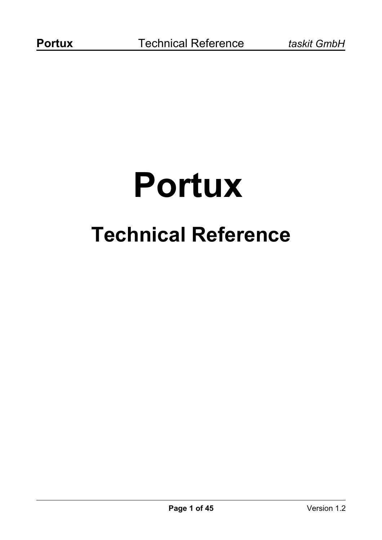# **Portux Technical Reference**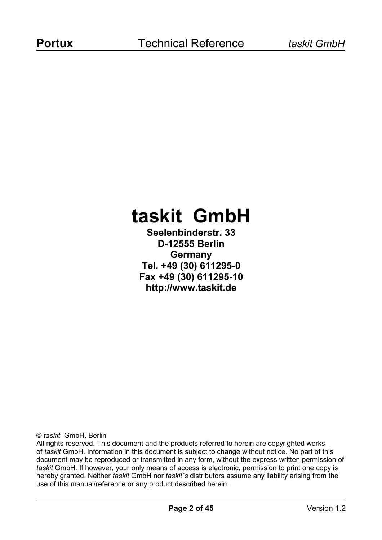## **taskit GmbH**

**Seelenbinderstr. 33 D-12555 Berlin Germany Tel. +49 (30) 611295-0 Fax +49 (30) 611295-10 http://www.taskit.de**

© *taskit* GmbH, Berlin

All rights reserved. This document and the products referred to herein are copyrighted works of *taskit* GmbH. Information in this document is subject to change without notice. No part of this document may be reproduced or transmitted in any form, without the express written permission of *taskit* GmbH. If however, your only means of access is electronic, permission to print one copy is hereby granted. Neither *taskit* GmbH nor *taskit´s* distributors assume any liability arising from the use of this manual/reference or any product described herein.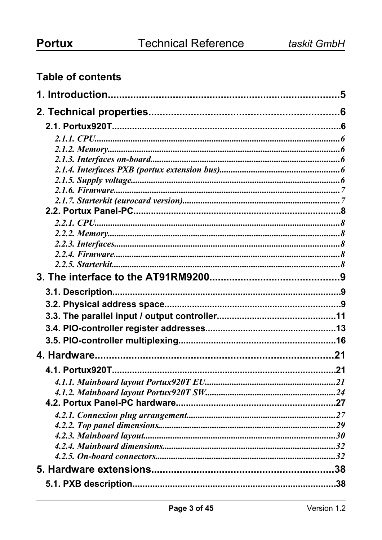| <b>Table of contents</b> |     |
|--------------------------|-----|
|                          |     |
|                          |     |
|                          |     |
|                          |     |
|                          |     |
|                          |     |
|                          |     |
|                          |     |
|                          |     |
|                          |     |
|                          |     |
|                          |     |
|                          |     |
|                          |     |
|                          |     |
|                          |     |
|                          |     |
|                          |     |
|                          |     |
|                          |     |
|                          |     |
|                          |     |
| 4. Hardware              | 21  |
|                          |     |
|                          |     |
|                          |     |
|                          |     |
|                          |     |
|                          |     |
|                          |     |
|                          |     |
|                          |     |
|                          |     |
|                          | .38 |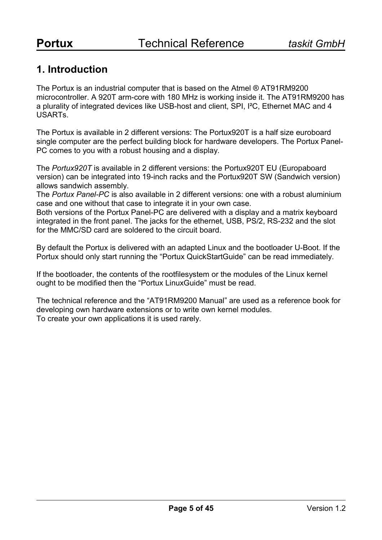## **1. Introduction**

The Portux is an industrial computer that is based on the Atmel ® AT91RM9200 microcontroller. A 920T arm-core with 180 MHz is working inside it. The AT91RM9200 has a plurality of integrated devices like USB-host and client, SPI, I²C, Ethernet MAC and 4 USARTs.

The Portux is available in 2 different versions: The Portux920T is a half size euroboard single computer are the perfect building block for hardware developers. The Portux Panel-PC comes to you with a robust housing and a display.

The *Portux920T* is available in 2 different versions: the Portux920T EU (Europaboard version) can be integrated into 19-inch racks and the Portux920T SW (Sandwich version) allows sandwich assembly.

The *Portux Panel-PC* is also available in 2 different versions: one with a robust aluminium case and one without that case to integrate it in your own case.

Both versions of the Portux Panel-PC are delivered with a display and a matrix keyboard integrated in the front panel. The jacks for the ethernet, USB, PS/2, RS-232 and the slot for the MMC/SD card are soldered to the circuit board.

By default the Portux is delivered with an adapted Linux and the bootloader U-Boot. If the Portux should only start running the "Portux QuickStartGuide" can be read immediately.

If the bootloader, the contents of the rootfilesystem or the modules of the Linux kernel ought to be modified then the "Portux LinuxGuide" must be read.

The technical reference and the "AT91RM9200 Manual" are used as a reference book for developing own hardware extensions or to write own kernel modules. To create your own applications it is used rarely.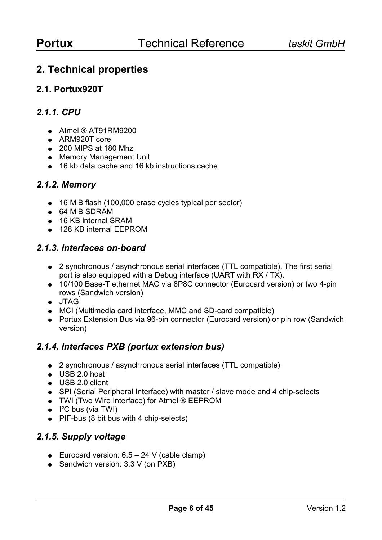## **2. Technical properties**

#### **2.1. Portux920T**

#### *2.1.1. CPU*

- Atmel ® AT91RM9200
- ARM920T core
- 200 MIPS at 180 Mhz
- Memory Management Unit
- 16 kb data cache and 16 kb instructions cache

#### *2.1.2. Memory*

- 16 MiB flash (100,000 erase cycles typical per sector)
- 64 MiB SDRAM
- 16 KB internal SRAM
- 128 KB internal EEPROM

#### *2.1.3. Interfaces on-board*

- 2 synchronous / asynchronous serial interfaces (TTL compatible). The first serial port is also equipped with a Debug interface (UART with RX / TX).
- 10/100 Base-T ethernet MAC via 8P8C connector (Eurocard version) or two 4-pin rows (Sandwich version)
- JTAG
- MCI (Multimedia card interface, MMC and SD-card compatible)
- Portux Extension Bus via 96-pin connector (Eurocard version) or pin row (Sandwich version)

#### *2.1.4. Interfaces PXB (portux extension bus)*

- 2 synchronous / asynchronous serial interfaces (TTL compatible)
- USB 2.0 host
- USB 2.0 client
- SPI (Serial Peripheral Interface) with master / slave mode and 4 chip-selects
- TWI (Two Wire Interface) for Atmel ® EEPROM
- $\bullet$  I<sup>2</sup>C bus (via TWI)
- $\bullet$  PIF-bus (8 bit bus with 4 chip-selects)

#### *2.1.5. Supply voltage*

- Eurocard version:  $6.5 24$  V (cable clamp)
- Sandwich version:  $3.3$  V (on PXB)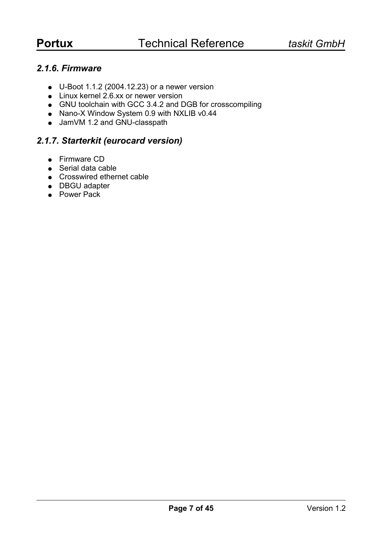#### *2.1.6. Firmware*

- U-Boot 1.1.2 (2004.12.23) or a newer version
- Linux kernel 2.6.xx or newer version
- GNU toolchain with GCC 3.4.2 and DGB for crosscompiling
- Nano-X Window System 0.9 with NXLIB v0.44
- JamVM 1.2 and GNU-classpath

## *2.1.7. Starterkit (eurocard version)*

- Firmware CD
- Serial data cable
- Crosswired ethernet cable
- DBGU adapter
- Power Pack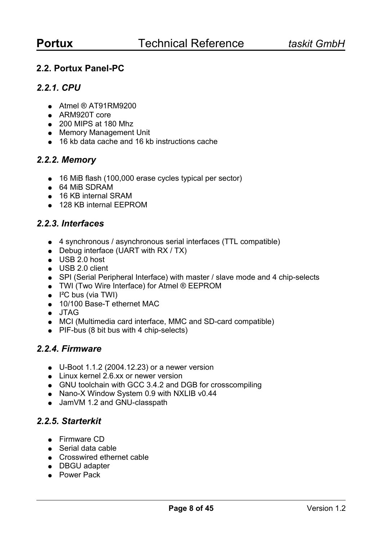## **2.2. Portux Panel-PC**

#### *2.2.1. CPU*

- Atmel ® AT91RM9200
- ARM920T core
- 200 MIPS at 180 Mhz
- Memory Management Unit
- 16 kb data cache and 16 kb instructions cache

#### *2.2.2. Memory*

- 16 MiB flash (100,000 erase cycles typical per sector)
- 64 MiB SDRAM
- 16 KB internal SRAM
- 128 KB internal EEPROM

#### *2.2.3. Interfaces*

- 4 synchronous / asynchronous serial interfaces (TTL compatible)
- Debug interface (UART with RX / TX)
- USB 2.0 host
- USB 2.0 client
- SPI (Serial Peripheral Interface) with master / slave mode and 4 chip-selects
- TWI (Two Wire Interface) for Atmel ® EEPROM
- $\bullet$  I<sup>2</sup>C bus (via TWI)
- 10/100 Base-T ethernet MAC
- JTAG
- MCI (Multimedia card interface, MMC and SD-card compatible)
- $\bullet$  PIF-bus (8 bit bus with 4 chip-selects)

#### *2.2.4. Firmware*

- U-Boot 1.1.2 (2004.12.23) or a newer version
- Linux kernel 2.6 xx or newer version
- GNU toolchain with GCC 3.4.2 and DGB for crosscompiling
- Nano-X Window System 0.9 with NXLIB v0.44
- JamVM 1.2 and GNU-classpath

#### *2.2.5. Starterkit*

- Firmware CD
- Serial data cable
- Crosswired ethernet cable
- DBGU adapter
- Power Pack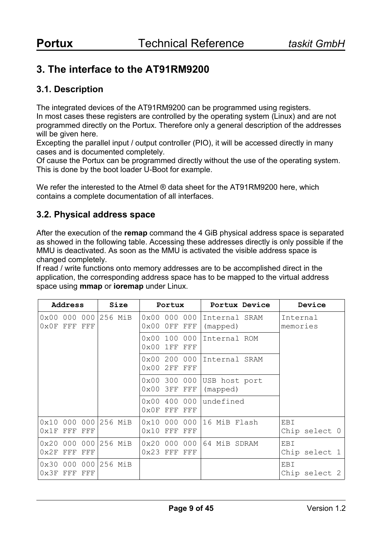## **3. The interface to the AT91RM9200**

## **3.1. Description**

The integrated devices of the AT91RM9200 can be programmed using registers.

In most cases these registers are controlled by the operating system (Linux) and are not programmed directly on the Portux. Therefore only a general description of the addresses will be given here.

Excepting the parallel input / output controller (PIO), it will be accessed directly in many cases and is documented completely.

Of cause the Portux can be programmed directly without the use of the operating system. This is done by the boot loader U-Boot for example.

We refer the interested to the Atmel ® data sheet for the AT91RM9200 here, which contains a complete documentation of all interfaces.

## **3.2. Physical address space**

After the execution of the **remap** command the 4 GiB physical address space is separated as showed in the following table. Accessing these addresses directly is only possible if the MMU is deactivated. As soon as the MMU is activated the visible address space is changed completely.

If read / write functions onto memory addresses are to be accomplished direct in the application, the corresponding address space has to be mapped to the virtual address space using **mmap** or **ioremap** under Linux.

| Address                             |                   | Size    | Portux                                         | Portux Device             | Device               |
|-------------------------------------|-------------------|---------|------------------------------------------------|---------------------------|----------------------|
| 0x00 000 000<br>0x0F<br>${\rm FFF}$ | FFF               | 256 MiB | 0x00 000 000<br>OFF<br>0x00<br>FFF             | Internal SRAM<br>(mapped) | Internal<br>memories |
|                                     |                   |         | 100<br>000<br>0x00<br>$0\times00$<br>1FF FFF   | Internal ROM              |                      |
|                                     |                   |         | 0x00 200 000<br>0x00<br>2FF<br>FFF             | Internal SRAM             |                      |
|                                     |                   |         | 0x00 300 000<br>$0x00$ 3FF FFF                 | USB host port<br>(mapped) |                      |
|                                     |                   |         | 400 000<br>$0 \times 00$<br>0x0F<br>FFF<br>FFF | undefined                 |                      |
| 0x10000<br>0x1F<br>FFF              | 000<br><b>FFF</b> | 256 MiB | 000 000<br>0x10<br>0x10<br>FFF<br>FFF          | 16 MiB Flash              | EBI<br>Chip select 0 |
| 0x20000<br>0x2F<br>${\rm FFF}$      | 000<br>FFF        | 256 MiB | 000 000<br>0x20<br>$0x23$ FFF<br>FFF           | 64 MiB SDRAM              | EBI<br>Chip select 1 |
| 0x30000<br>0x3F<br>FFF              | 000<br>FFF        | 256 MiB |                                                |                           | EBI<br>Chip select 2 |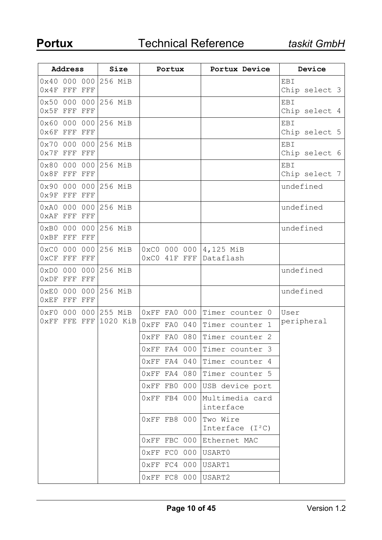|                              | Address |             | Size                 | Portux                       | Portux Device                  | Device                      |
|------------------------------|---------|-------------|----------------------|------------------------------|--------------------------------|-----------------------------|
| OX4F FFF FFF                 |         |             | 0x40 000 000 256 MiB |                              |                                | EBI<br>Chip select 3        |
| OX5F FFF FFF                 |         |             | 0x50 000 000 256 MiB |                              |                                | EBI<br>Chip select 4        |
| $0x6F$ FFF                   |         | ${\rm FFF}$ | 0x60 000 000 256 MiB |                              |                                | EBI<br>Chip select 5        |
| 0x7F FFF FFF                 |         |             | 0x70 000 000 256 MiB |                              |                                | EBI<br>Chip select 6        |
| OX8F FFF FFF                 |         |             | 0x80 000 000 256 MiB |                              |                                | <b>EBI</b><br>Chip select 7 |
| OX9F FFF FFF                 |         |             | 0x90 000 000 256 MiB |                              |                                | undefined                   |
| OXAF FFF FFF                 |         |             | 0xA0 000 000 256 MiB |                              |                                | undefined                   |
| OXBF FFF FFF                 |         |             | 0xB0 000 000 256 MiB |                              |                                | undefined                   |
| OXCF FFF FFF                 |         |             | 0xC0 000 000 256 MiB | 0xC0 000 000<br>0xC0 41F FFF | 4,125 MiB<br>Dataflash         |                             |
| OXDF FFF FFF                 |         |             | 0xD0 000 000 256 MiB |                              |                                | undefined                   |
| 0xE0 000 000<br>OXEF FFF FFF |         |             | 256 MiB              |                              |                                | undefined                   |
|                              |         |             | 0xF0 000 000 255 MiB | OXFF FAO 000                 | Timer counter 0                | User                        |
| $0 \times FF$ FFE FFF        |         |             | 1020 KiB             | OXFF FAO 040                 | Timer counter 1                | peripheral                  |
|                              |         |             |                      | OXFF FAO 080                 | Timer counter 2                |                             |
|                              |         |             |                      |                              | OXFF FA4 000 Timer counter 3   |                             |
|                              |         |             |                      | $0 \times FF$ $FA4$ 040      | Timer counter 4                |                             |
|                              |         |             |                      | $0 \times FF$ $FA4$ 080      | Timer counter 5                |                             |
|                              |         |             |                      | OXFF FBO 000                 | USB device port                |                             |
|                              |         |             |                      | $0xFF$ FB4 000               | Multimedia card<br>interface   |                             |
|                              |         |             |                      | $0xFF$ FB8 000               | Two Wire<br>Interface $(I^2C)$ |                             |
|                              |         |             |                      | OXFF FBC 000                 | Ethernet MAC                   |                             |
|                              |         |             |                      | OXFF FCO 000                 | USART0                         |                             |
|                              |         |             |                      | $0xFF$ FC4 000               | USART1                         |                             |
|                              |         |             |                      | OXFF FC8 000                 | USART2                         |                             |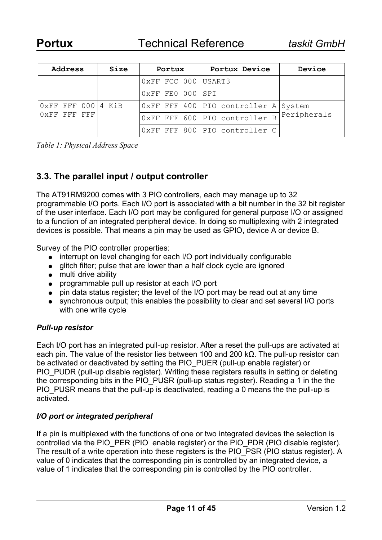| Address               | Size | Portux                        | Portux Device                        | Device |
|-----------------------|------|-------------------------------|--------------------------------------|--------|
|                       |      | OXFF FCC 000 USART3           |                                      |        |
|                       |      | OXFF FEO 000 SPI              |                                      |        |
| $OKFF$ FFF 000 4 KiB  |      |                               | OXFF FFF 400 PIO controller A System |        |
| $0 \times$ FF FFF FFF |      | OXFF FFF 600 PIO controller B | Peripherals                          |        |
|                       |      |                               | OXFF FFF 800 PIO controller C        |        |

*Table 1: Physical Address Space*

#### **3.3. The parallel input / output controller**

The AT91RM9200 comes with 3 PIO controllers, each may manage up to 32 programmable I/O ports. Each I/O port is associated with a bit number in the 32 bit register of the user interface. Each I/O port may be configured for general purpose I/O or assigned to a function of an integrated peripheral device. In doing so multiplexing with 2 integrated devices is possible. That means a pin may be used as GPIO, device A or device B.

Survey of the PIO controller properties:

- interrupt on level changing for each I/O port individually configurable
- glitch filter; pulse that are lower than a half clock cycle are ignored
- multi drive ability
- programmable pull up resistor at each I/O port
- pin data status register; the level of the I/O port may be read out at any time
- synchronous output; this enables the possibility to clear and set several I/O ports with one write cycle

#### *Pull-up resistor*

Each I/O port has an integrated pull-up resistor. After a reset the pull-ups are activated at each pin. The value of the resistor lies between 100 and 200 kΩ. The pull-up resistor can be activated or deactivated by setting the PIO\_PUER (pull-up enable register) or PIO PUDR (pull-up disable register). Writing these registers results in setting or deleting the corresponding bits in the PIO\_PUSR (pull-up status register). Reading a 1 in the the PIO PUSR means that the pull-up is deactivated, reading a 0 means the the pull-up is activated.

#### *I/O port or integrated peripheral*

If a pin is multiplexed with the functions of one or two integrated devices the selection is controlled via the PIO\_PER (PIO\_enable register) or the PIO\_PDR (PIO disable register). The result of a write operation into these registers is the PIO\_PSR (PIO status register). A value of 0 indicates that the corresponding pin is controlled by an integrated device, a value of 1 indicates that the corresponding pin is controlled by the PIO controller.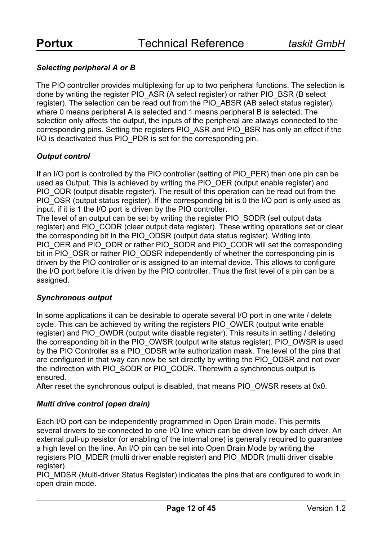#### *Selecting peripheral A or B*

The PIO controller provides multiplexing for up to two peripheral functions. The selection is done by writing the register PIO\_ASR (A select register) or rather PIO\_BSR (B select register). The selection can be read out from the PIO ABSR (AB select status register), where 0 means peripheral A is selected and 1 means peripheral B is selected. The selection only affects the output, the inputs of the peripheral are always connected to the corresponding pins. Setting the registers PIO\_ASR and PIO\_BSR has only an effect if the I/O is deactivated thus PIO PDR is set for the corresponding pin.

#### *Output control*

If an I/O port is controlled by the PIO controller (setting of PIO PER) then one pin can be used as Output. This is achieved by writing the PIO\_OER (output enable register) and PIO ODR (output disable register). The result of this operation can be read out from the PIO OSR (output status register). If the corresponding bit is 0 the I/O port is only used as input, if it is 1 the I/O port is driven by the PIO controller.

The level of an output can be set by writing the register PIO\_SODR (set output data register) and PIO CODR (clear output data register). These writing operations set or clear the corresponding bit in the PIO ODSR (output data status register). Writing into PIO\_OER and PIO\_ODR or rather PIO\_SODR and PIO\_CODR will set the corresponding bit in PIO\_OSR or rather PIO\_ODSR independently of whether the corresponding pin is driven by the PIO controller or is assigned to an internal device. This allows to configure the I/O port before it is driven by the PIO controller. Thus the first level of a pin can be a assigned.

#### *Synchronous output*

In some applications it can be desirable to operate several I/O port in one write / delete cycle. This can be achieved by writing the registers PIO\_OWER (output write enable register) and PIO\_OWDR (output write disable register). This results in setting / deleting the corresponding bit in the PIO\_OWSR (output write status register). PIO\_OWSR is used by the PIO Controller as a PIO ODSR write authorization mask. The level of the pins that are configured in that way can now be set directly by writing the PIO ODSR and not over the indirection with PIO\_SODR or PIO\_CODR. Therewith a synchronous output is ensured.

After reset the synchronous output is disabled, that means PIO OWSR resets at 0x0.

#### *Multi drive control (open drain)*

Each I/O port can be independently programmed in Open Drain mode. This permits several drivers to be connected to one I/O line which can be driven low by each driver. An external pull-up resistor (or enabling of the internal one) is generally required to quarantee a high level on the line. An I/O pin can be set into Open Drain Mode by writing the registers PIO\_MDER (multi driver enable register) and PIO\_MDDR (multi driver disable register).

PIO MDSR (Multi-driver Status Register) indicates the pins that are configured to work in open drain mode.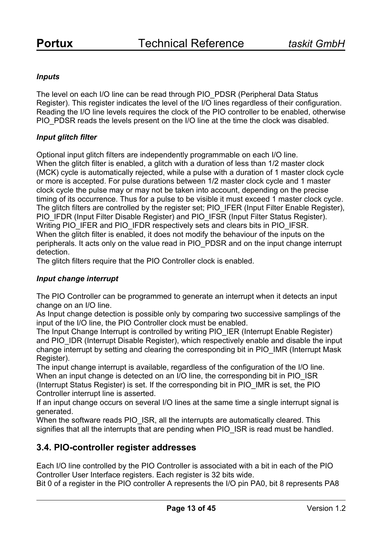#### *Inputs*

The level on each I/O line can be read through PIO\_PDSR (Peripheral Data Status Register). This register indicates the level of the I/O lines regardless of their configuration. Reading the I/O line levels requires the clock of the PIO controller to be enabled, otherwise PIO\_PDSR reads the levels present on the I/O line at the time the clock was disabled.

#### *Input glitch filter*

Optional input glitch filters are independently programmable on each I/O line.

When the glitch filter is enabled, a glitch with a duration of less than 1/2 master clock (MCK) cycle is automatically rejected, while a pulse with a duration of 1 master clock cycle or more is accepted. For pulse durations between 1/2 master clock cycle and 1 master clock cycle the pulse may or may not be taken into account, depending on the precise timing of its occurrence. Thus for a pulse to be visible it must exceed 1 master clock cycle. The glitch filters are controlled by the register set; PIO IFER (Input Filter Enable Register), PIO IFDR (Input Filter Disable Register) and PIO IFSR (Input Filter Status Register). Writing PIO IFER and PIO IFDR respectively sets and clears bits in PIO IFSR. When the glitch filter is enabled, it does not modify the behaviour of the inputs on the peripherals. It acts only on the value read in PIO\_PDSR and on the input change interrupt detection.

The glitch filters require that the PIO Controller clock is enabled.

#### *Input change interrupt*

The PIO Controller can be programmed to generate an interrupt when it detects an input change on an I/O line.

As Input change detection is possible only by comparing two successive samplings of the input of the I/O line, the PIO Controller clock must be enabled.

The Input Change Interrupt is controlled by writing PIO IER (Interrupt Enable Register) and PIO IDR (Interrupt Disable Register), which respectively enable and disable the input change interrupt by setting and clearing the corresponding bit in PIO\_IMR (Interrupt Mask Register).

The input change interrupt is available, regardless of the configuration of the I/O line. When an input change is detected on an I/O line, the corresponding bit in PIO\_ISR (Interrupt Status Register) is set. If the corresponding bit in PIO\_IMR is set, the PIO Controller interrupt line is asserted.

If an input change occurs on several I/O lines at the same time a single interrupt signal is generated.

When the software reads PIO ISR, all the interrupts are automatically cleared. This signifies that all the interrupts that are pending when PIO ISR is read must be handled.

#### **3.4. PIO-controller register addresses**

Each I/O line controlled by the PIO Controller is associated with a bit in each of the PIO Controller User Interface registers. Each register is 32 bits wide.

Bit 0 of a register in the PIO controller A represents the I/O pin PA0, bit 8 represents PA8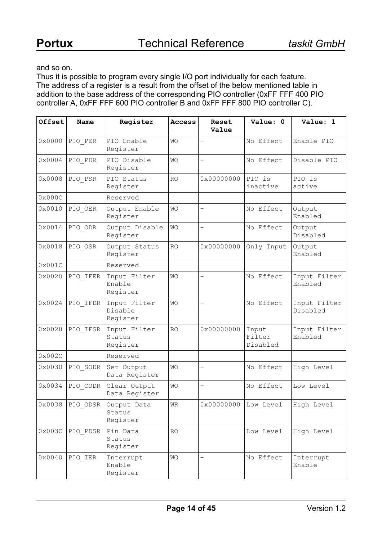#### and so on.

Thus it is possible to program every single I/O port individually for each feature. The address of a register is a result from the offset of the below mentioned table in addition to the base address of the corresponding PIO controller (0xFF FFF 400 PIO controller A, 0xFF FFF 600 PIO controller B and 0xFF FFF 800 PIO controller C).

| Offset          | <b>Name</b> | Register                            | <b>Access</b> | Reset<br>Value           | Value: 0                    | Value: 1                 |
|-----------------|-------------|-------------------------------------|---------------|--------------------------|-----------------------------|--------------------------|
| 0x0000          | PIO PER     | PIO Enable<br>Register              | <b>WO</b>     | $\qquad \qquad -$        | No Effect                   | Enable PIO               |
| $0 \times 0004$ | PIO PDR     | PIO Disable<br>Register             | <b>WO</b>     | $\qquad \qquad -$        | No Effect                   | Disable PIO              |
| 0x0008          | PIO PSR     | PIO Status<br>Register              | <b>RO</b>     | 0x00000000               | PIO is<br>inactive          | PIO is<br>active         |
| 0x000C          |             | Reserved                            |               |                          |                             |                          |
| $0 \times 0010$ | PIO OER     | Output Enable<br>Register           | WО            | $\overline{a}$           | No Effect                   | Output<br>Enabled        |
| $0 \times 0014$ | PIO ODR     | Output Disable<br>Register          | <b>WO</b>     | $\qquad \qquad -$        | No Effect                   | Output<br>Disabled       |
| $0 \times 0018$ | PIO OSR     | Output Status<br>Register           | <b>RO</b>     | 0x00000000               | Only Input                  | Output<br>Enabled        |
| 0x001C          |             | Reserved                            |               |                          |                             |                          |
| 0x0020          | PIO IFER    | Input Filter<br>Enable<br>Register  | <b>WO</b>     | $\qquad \qquad -$        | No Effect                   | Input Filter<br>Enabled  |
| 0x0024          | PIO IFDR    | Input Filter<br>Disable<br>Register | <b>WO</b>     | $\qquad \qquad -$        | No Effect                   | Input Filter<br>Disabled |
| 0x0028          | PIO IFSR    | Input Filter<br>Status<br>Register  | <b>RO</b>     | 0x00000000               | Input<br>Filter<br>Disabled | Input Filter<br>Enabled  |
| 0x002C          |             | Reserved                            |               |                          |                             |                          |
| 0x0030          | PIO SODR    | Set Output<br>Data Register         | <b>WO</b>     |                          | No Effect                   | High Level               |
| 0x0034          | PIO CODR    | Clear Output<br>Data Register       | <b>WO</b>     | $\overline{\phantom{0}}$ | No Effect                   | Low Level                |
| 0x0038          | PIO ODSR    | Output Data<br>Status<br>Register   | $\mathtt{WR}$ | 0x00000000               | Low Level                   | High Level               |
| 0x003C          | PIO PDSR    | Pin Data<br>Status<br>Register      | <b>RO</b>     |                          | Low Level                   | High Level               |
| 0x0040          | PIO IER     | Interrupt<br>Enable<br>Register     | WO.           |                          | No Effect                   | Interrupt<br>Enable      |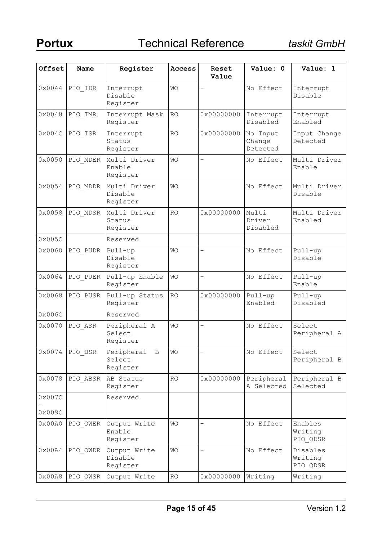| Offset            | Name     | Register                              | Access    | Reset<br>Value           | Value: 0                       | Value: 1                        |
|-------------------|----------|---------------------------------------|-----------|--------------------------|--------------------------------|---------------------------------|
| $0 \times 0044$   | PIO_IDR  | Interrupt<br>Disable<br>Register      | <b>WO</b> |                          | No Effect                      | Interrupt<br>Disable            |
| 0x0048            | PIO IMR  | Interrupt Mask<br>Register            | <b>RO</b> | 0x00000000               | Interrupt<br>Disabled          | Interrupt<br>Enabled            |
| 0x004C            | PIO ISR  | Interrupt<br>Status<br>Register       | <b>RO</b> | 0x00000000               | No Input<br>Change<br>Detected | Input Change<br>Detected        |
| 0x0050            | PIO MDER | Multi Driver<br>Enable<br>Register    | <b>WO</b> | $\qquad \qquad -$        | No Effect                      | Multi Driver<br>Enable          |
| 0x0054            | PIO MDDR | Multi Driver<br>Disable<br>Register   | <b>WO</b> |                          | No Effect                      | Multi Driver<br>Disable         |
| 0x0058            | PIO MDSR | Multi Driver<br>Status<br>Register    | <b>RO</b> | 0x00000000               | Multi<br>Driver<br>Disabled    | Multi Driver<br>Enabled         |
| 0x005C            |          | Reserved                              |           |                          |                                |                                 |
| 0x0060            | PIO PUDR | Pull-up<br>Disable<br>Register        | WО        | $\overline{\phantom{0}}$ | No Effect                      | Pull-up<br>Disable              |
| 0x0064            | PIO PUER | Pull-up Enable<br>Register            | <b>WO</b> | -                        | No Effect                      | Pull-up<br>Enable               |
| 0x0068            | PIO PUSR | Pull-up Status<br>Register            | <b>RO</b> | 0x00000000               | Pull-up<br>Enabled             | Pull-up<br>Disabled             |
| 0x006C            |          | Reserved                              |           |                          |                                |                                 |
| 0x0070            | PIO ASR  | Peripheral A<br>Select<br>Register    | <b>WO</b> | $\overline{\phantom{0}}$ | No Effect                      | Select<br>Peripheral A          |
| 0x0074            | PIO BSR  | Peripheral<br>B<br>Select<br>Register | ΜO        |                          | No Effect                      | Select<br>Peripheral B          |
| 0x0078            | PIO ABSR | AB Status<br>Register                 | <b>RO</b> | 0x00000000               | Peripheral<br>A Selected       | Peripheral B<br>Selected        |
| 0x007C<br>0x009C  |          | Reserved                              |           |                          |                                |                                 |
| $0\times00$ A $0$ | PIO OWER | Output Write<br>Enable<br>Register    | <b>WO</b> |                          | No Effect                      | Enables<br>Writing<br>PIO ODSR  |
| 0x00A4            | PIO OWDR | Output Write<br>Disable<br>Register   | <b>WO</b> | $\overline{\phantom{0}}$ | No Effect                      | Disables<br>Writing<br>PIO ODSR |
| 0x00A8            | PIO OWSR | Output Write                          | <b>RO</b> | 0x00000000               | Writing                        | Writing                         |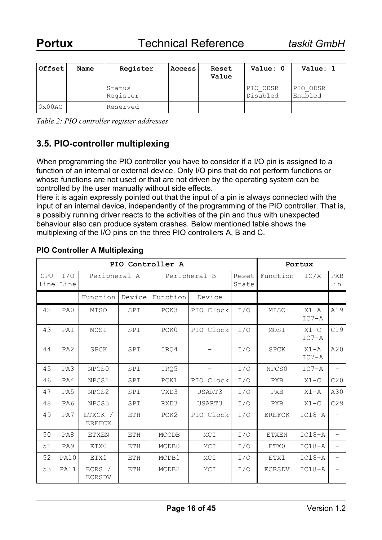| Offset | Name | Register           | Access | <b>Reset</b><br>Value | Value: 0             | Value:<br>$\mathbf{I}$ |
|--------|------|--------------------|--------|-----------------------|----------------------|------------------------|
|        |      | Status<br>Register |        |                       | PIO ODSR<br>Disabled | 'PIO ODSR<br>Enabled   |
| 0x00AC |      | Reserved           |        |                       |                      |                        |

*Table 2: PIO controller register addresses*

## **3.5. PIO-controller multiplexing**

When programming the PIO controller you have to consider if a I/O pin is assigned to a function of an internal or external device. Only I/O pins that do not perform functions or whose functions are not used or that are not driven by the operating system can be controlled by the user manually without side effects.

Here it is again expressly pointed out that the input of a pin is always connected with the input of an internal device, independently of the programming of the PIO controller. That is, a possibly running driver reacts to the activities of the pin and thus with unexpected behaviour also can produce system crashes. Below mentioned table shows the multiplexing of the I/O pins on the three PIO controllers A, B and C.

|                    |                 | PIO Controller A         |        |          | Portux       |                |               |                       |                          |
|--------------------|-----------------|--------------------------|--------|----------|--------------|----------------|---------------|-----------------------|--------------------------|
| <b>CPU</b><br>line | I/O<br>Line     | Peripheral A             |        |          | Peripheral B | Reset<br>State | Function      | IC/X                  | <b>PXB</b><br>in         |
|                    |                 | Function                 | Device | Function | Device       |                |               |                       |                          |
| 42                 | PA0             | MISO                     | SPI    | PCK3     | PIO Clock    | I/O            | <b>MISO</b>   | $X1 - A$<br>$IC7 - A$ | A19                      |
| 43                 | PA1             | MOSI                     | SPI    | PCK0     | PIO Clock    | I/O            | MOSI          | $X1-C$<br>$IC7 - A$   | C19                      |
| 44                 | PA <sub>2</sub> | <b>SPCK</b>              | SPI    | IRQ4     |              | I/O            | <b>SPCK</b>   | $X1 - A$<br>$IC7 - A$ | A20                      |
| 45                 | PA3             | NPCS0                    | SPI    | IRQ5     |              | I/O            | NPCS0         | $IC7 - A$             |                          |
| 46                 | PA4             | NPCS1                    | SPI    | PCK1     | PIO Clock    | I/O            | <b>PXB</b>    | $X1-C$                | C20                      |
| 47                 | PA5             | NPCS2                    | SPI    | TXD3     | USART3       | I/O            | <b>PXB</b>    | $X1 - A$              | A30                      |
| 48                 | PA6             | NPCS3                    | SPI    | RXD3     | USART3       | I/O            | <b>PXB</b>    | $X1-C$                | C29                      |
| 49                 | PA7             | ETXCK /<br><b>EREFCK</b> | ETH    | PCK2     | PIO Clock    | I/O            | <b>EREFCK</b> | $IC18 - A$            |                          |
| 50                 | PA8             | <b>ETXEN</b>             | ETH    | MCCDB    | MCI          | I/O            | <b>ETXEN</b>  | $IC18 - A$            | —                        |
| 51                 | PA <sub>9</sub> | ETX0                     | ETH    | MCDB0    | MCI          | I/O            | ETX0          | $IC18 - A$            | $\overline{\phantom{0}}$ |
| 52                 | PA10            | ETX1                     | ETH    | MCDB1    | MCI          | I/O            | ETX1          | $IC18 - A$            | $\overline{\phantom{0}}$ |
| 53                 | PA11            | ECRS /<br><b>ECRSDV</b>  | ETH    | MCDB2    | MCI          | I/O            | <b>ECRSDV</b> | $IC18 - A$            |                          |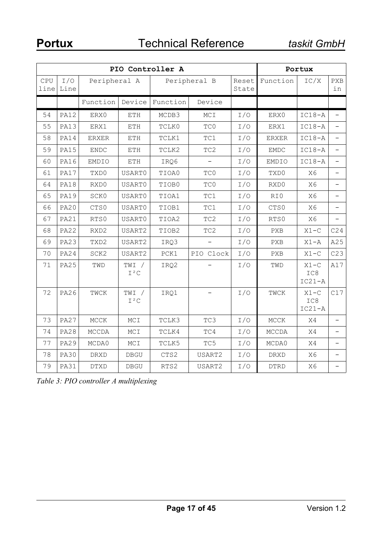| PIO Controller A |             |                 |                               |          |                 |                |                 | Portux                      |                          |
|------------------|-------------|-----------------|-------------------------------|----------|-----------------|----------------|-----------------|-----------------------------|--------------------------|
| CPU<br>line      | I/O<br>Line | Peripheral A    |                               |          | Peripheral B    | Reset<br>State | Function        | IC/X                        | PXB<br>in                |
|                  |             | Function        | Device                        | Function | Device          |                |                 |                             |                          |
| 54               | <b>PA12</b> | ERX0            | ETH                           | MCDB3    | MCI             | I/O            | ERX0            | $IC18-A$                    |                          |
| 55               | PA13        | ERX1            | $\operatorname{ETH}$          | TCLK0    | TC0             | I/O            | ERX1            | $IC18-A$                    |                          |
| 58               | PA14        | <b>ERXER</b>    | ETH                           | TCLK1    | TC1             | I/O            | <b>ERXER</b>    | $IC18-A$                    | $\overline{\phantom{0}}$ |
| 59               | <b>PA15</b> | <b>ENDC</b>     | ETH                           | TCLK2    | TC <sub>2</sub> | I/O            | <b>EMDC</b>     | $IC18 - A$                  | $\qquad \qquad -$        |
| 60               | <b>PA16</b> | EMDIO           | $\operatorname{ETH}$          | IRQ6     |                 | I/O            | EMDIO           | $IC18 - A$                  | $\qquad \qquad -$        |
| 61               | <b>PA17</b> | TXD0            | USART0                        | TIOA0    | TC0             | I/O            | TXD0            | X6                          | -                        |
| 64               | PA18        | RXD0            | USART0                        | TIOB0    | TC0             | I/O            | RXD0            | X6                          |                          |
| 65               | <b>PA19</b> | SCK0            | USART0                        | TIOA1    | TC1             | I/O            | RI0             | X6                          | $\qquad \qquad -$        |
| 66               | <b>PA20</b> | CTS0            | USART0                        | TIOB1    | TC1             | I/O            | CTS0            | X6                          | -                        |
| 67               | <b>PA21</b> | RTS0            | USART0                        | TIOA2    | TC <sub>2</sub> | I/O            | RTS0            | X6                          |                          |
| 68               | <b>PA22</b> | RXD2            | USART2                        | TIOB2    | TC <sub>2</sub> | I/O            | PXB             | $X1-C$                      | C24                      |
| 69               | PA23        | TXD2            | USART2                        | IRQ3     |                 | I/O            | PXB             | $X1 - A$                    | A25                      |
| 70               | <b>PA24</b> | SCK2            | USART2                        | PCK1     | PIO Clock       | I/O            | PXB             | $X1-C$                      | C23                      |
| 71               | <b>PA25</b> | TWD             | TWI /<br>$\mathbbm{T}$ $^2$ C | IRQ2     |                 | I/O            | TWD             | $X1-C$<br>IC8<br>$IC21 - A$ | A17                      |
| 72               | <b>PA26</b> | TWCK            | TWI /<br>$\mathbbm{T}$ $^2$ C | IRQ1     |                 | I/O            | TWCK            | $X1-C$<br>IC8<br>$IC21 - A$ | C17                      |
| 73               | <b>PA27</b> | $\texttt{MCCK}$ | $\mathop{\rm MCl}\nolimits$   | TCLK3    | TC3             | I/O            | $\texttt{MCCK}$ | X4                          | $\qquad \qquad -$        |
| 74               | <b>PA28</b> | MCCDA           | $\texttt{MCI}$                | TCLK4    | TC4             | I/O            | MCCDA           | X4                          | $\overline{\phantom{0}}$ |
| 77               | <b>PA29</b> | MCDA0           | MCI                           | TCLK5    | TC5             | I/O            | MCDA0           | X4                          | -                        |
| 78               | <b>PA30</b> | DRXD            | DBGU                          | CTS2     | USART2          | I/O            | DRXD            | X6                          |                          |
| 79               | <b>PA31</b> | <b>DTXD</b>     | <b>DBGU</b>                   | RTS2     | USART2          | I/O            | <b>DTRD</b>     | X6                          |                          |

*Table 3: PIO controller A multiplexing*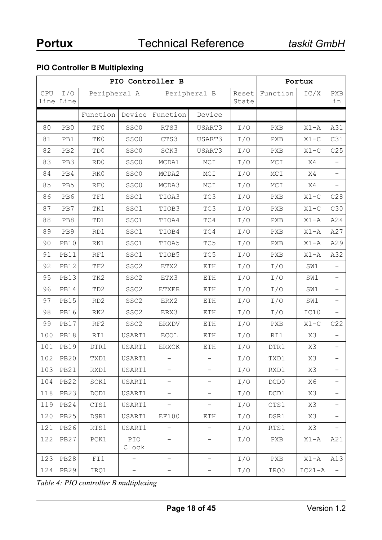## **PIO Controller B Multiplexing**

| PIO Controller B |                 |                 |              |                          |                      |                |                             | Portux     |                          |
|------------------|-----------------|-----------------|--------------|--------------------------|----------------------|----------------|-----------------------------|------------|--------------------------|
| CPU<br>line      | I/O<br>Line     | Peripheral A    |              |                          | Peripheral B         | Reset<br>State | Function                    | IC/X       | <b>PXB</b><br>in         |
|                  |                 | Function        | Device       | Function                 | Device               |                |                             |            |                          |
| 80               | PB0             | TF0             | SSC0         | RTS3                     | USART3               | I/O            | ${\tt PXB}$                 | $X1 - A$   | A31                      |
| 81               | PB1             | TK0             | SSC0         | CTS3                     | USART3               | I/O            | PXB                         | $X1-C$     | C31                      |
| 82               | PB2             | TD0             | SSC0         | SCK3                     | USART3               | I/O            | ${\rm PXB}$                 | $X1-C$     | C25                      |
| 83               | PB3             | RD <sub>0</sub> | SSC0         | MCDA1                    | MCI                  | I/O            | $\operatorname{MC}$ I       | X4         | $\overline{\phantom{0}}$ |
| 84               | PB4             | RK0             | SSC0         | MCDA2                    | MCI                  | I/O            | $\mathop{\rm MCT}\nolimits$ | X4         | $\overline{\phantom{0}}$ |
| 85               | PB <sub>5</sub> | RF0             | SSC0         | MCDA3                    | MCI                  | I/O            | $\operatorname{MC}$ I       | X4         |                          |
| 86               | PB6             | $\mathtt{TF1}$  | SSC1         | TIOA3                    | TC3                  | I/O            | ${\tt PXB}$                 | $X1-C$     | C28                      |
| 87               | PB7             | TK1             | SSC1         | TIOB3                    | TC3                  | I/O            | ${\rm PXB}$                 | $X1-C$     | C30                      |
| 88               | PB8             | TD1             | SSC1         | TIOA4                    | TC4                  | I/O            | ${\rm PXB}$                 | $X1 - A$   | A24                      |
| 89               | PB9             | RD1             | SSC1         | TIOB4                    | TC4                  | I/O            | PXB                         | $X1 - A$   | A27                      |
| 90               | PB10            | RK1             | SSC1         | TIOA5                    | TC5                  | I/O            | ${\rm PXB}$                 | $X1 - A$   | A29                      |
| 91               | PB11            | RF1             | SSC1         | TIOB5                    | TC5                  | I/O            | ${\rm PXB}$                 | $X1 - A$   | A32                      |
| 92               | <b>PB12</b>     | TF2             | SSC2         | ETX2                     | $\operatorname{ETH}$ | I/O            | I/O                         | SW1        | $\overline{\phantom{0}}$ |
| 95               | PB13            | TK2             | SSC2         | ETX3                     | $\operatorname{ETH}$ | I/O            | I/O                         | SW1        | $\overline{\phantom{0}}$ |
| 96               | PB14            | TD2             | SSC2         | <b>ETXER</b>             | $\operatorname{ETH}$ | I/O            | I/O                         | SW1        | $\overline{\phantom{0}}$ |
| 97               | PB15            | RD <sub>2</sub> | SSC2         | ERX2                     | $\operatorname{ETH}$ | I/O            | $\text{I}/\text{O}$         | SW1        | $\overline{\phantom{0}}$ |
| 98               | PB16            | RK2             | SSC2         | ERX3                     | $\operatorname{ETH}$ | I/O            | I/O                         | IC10       | $\overline{\phantom{0}}$ |
| 99               | PB17            | RF2             | SSC2         | <b>ERXDV</b>             | $\operatorname{ETH}$ | I/O            | PXB                         | $X1-C$     | C22                      |
| 100              | PB18            | RI1             | USART1       | <b>ECOL</b>              | $\operatorname{ETH}$ | I/O            | RI1                         | X3         | $\overline{\phantom{0}}$ |
| 101              | PB19            | DTR1            | USART1       | ERXCK                    | $\operatorname{ETH}$ | I/O            | DTR1                        | X3         | $\overline{\phantom{0}}$ |
| 102              | <b>PB20</b>     | TXD1            | USART1       | $\overline{\phantom{0}}$ |                      | I/O            | TXD1                        | X3         | $\overline{\phantom{0}}$ |
| 103              | PB21            | RXD1            | USART1       | $\qquad \qquad -$        |                      | I/O            | RXD1                        | X3         | $\overline{\phantom{0}}$ |
| 104              | PB22            | SCK1            | USART1       | $\qquad \qquad -$        |                      | I/O            | DCD <sub>0</sub>            | X6         |                          |
| 118              | PB23            | DCD1            | USART1       | -                        |                      | I/O            | DCD1                        | X3         |                          |
| 119              | PB24            | CTS1            | USART1       | -                        | -                    | I/O            | CTS1                        | X3         |                          |
| 120              | PB25            | DSR1            | USART1       | <b>EF100</b>             | ETH                  | I/O            | DSR1                        | X3         |                          |
| 121              | PB26            | RTS1            | USART1       | $\qquad \qquad -$        |                      | I/O            | RTS1                        | X3         | $\overline{\phantom{0}}$ |
| 122              | PB27            | PCK1            | PIO<br>Clock |                          |                      | I/O            | ${\rm PXB}$                 | $X1 - A$   | A21                      |
| 123              | PB28            | FI1             |              | $\overline{\phantom{0}}$ |                      | I/O            | PXB                         | $X1 - A$   | A13                      |
| 124              | PB29            | IRQ1            |              |                          |                      | I/O            | IRQ0                        | $IC21 - A$ |                          |

*Table 4: PIO controller B multiplexing*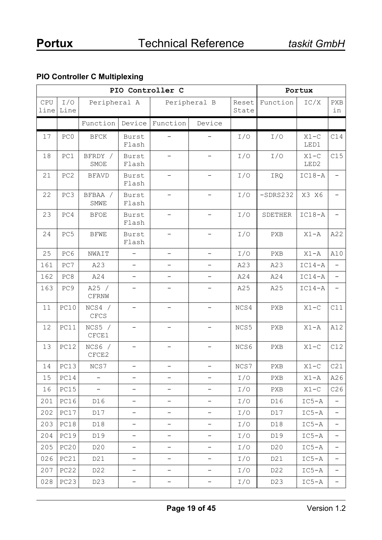## **PIO Controller C Multiplexing**

|             | PIO Controller C |                          |                          |                          |              |                |             | Portux         |                   |
|-------------|------------------|--------------------------|--------------------------|--------------------------|--------------|----------------|-------------|----------------|-------------------|
| CPU<br>line | I/O<br>Line      | Peripheral A             |                          |                          | Peripheral B | Reset<br>State | Function    | IC/X           | PXB<br>in         |
|             |                  | Function                 | Device                   | Function                 | Device       |                |             |                |                   |
| 17          | PC0              | $\operatorname{BFCK}$    | Burst<br>Flash           |                          |              | I/O            | I/O         | $X1-C$<br>LED1 | C14               |
| 18          | PC1              | BFRDY /<br>SMOE          | Burst<br>Flash           | -                        |              | I/O            | I/O         | $X1-C$<br>LED2 | C15               |
| 21          | PC <sub>2</sub>  | <b>BFAVD</b>             | Burst<br>Flash           | -                        |              | I/O            | IRQ         | $IC18 - A$     |                   |
| 22          | PC3              | BFBAA /<br>SMWE          | Burst<br>Flash           | $\qquad \qquad -$        |              | I/O            | $-SDRS232$  | X3 X6          |                   |
| 23          | PC <sub>4</sub>  | <b>BFOE</b>              | Burst<br>Flash           |                          |              | I/O            | SDETHER     | $IC18 - A$     |                   |
| 24          | PC <sub>5</sub>  | <b>BFWE</b>              | Burst<br>Flash           |                          |              | I/O            | ${\rm PXB}$ | $X1 - A$       | A22               |
| 25          | PC6              | NWAIT                    |                          | $\overline{\phantom{0}}$ |              | I/O            | PXB         | $X1 - A$       | A10               |
| 161         | PC7              | A23                      |                          |                          |              | A23            | A23         | $IC14 - A$     |                   |
| 162         | PC8              | A24                      |                          | $\overline{\phantom{0}}$ |              | A24            | A24         | $IC14 - A$     |                   |
| 163         | PC <sub>9</sub>  | A25 /<br>$\mbox{CFRNW}$  |                          |                          |              | A25            | A25         | $IC14 - A$     |                   |
| 11          | PC10             | $NCS4$ /<br>${\tt CFCS}$ |                          |                          |              | NCS4           | PXB         | $X1-C$         | C11               |
| 12          | PC11             | $NCS5$ /<br>CFCE1        |                          |                          |              | NCS5           | ${\rm PXB}$ | $X1 - A$       | A12               |
| 13          | PC12             | $NCS6$ /<br>CFCE2        |                          |                          |              | NCS6           | PXB         | $X1-C$         | C12               |
| 14          | PC13             | NCS7                     | $\overline{\phantom{0}}$ | $\overline{\phantom{m}}$ |              | NCS7           | PXB         | $X1-C$         | C21               |
| 15          | PC14             | -                        | -                        | -                        |              | I/O            | <b>PXB</b>  | $X1 - A$       | A26               |
| 16          | PC15             | -                        | -                        | -                        | -            | I/O            | <b>PXB</b>  | $X1-C$         | C26               |
| 201         | PC16             | D16                      | -                        | -                        | -            | I/O            | D16         | $IC5 - A$      | $\qquad \qquad -$ |
| 202         | PC17             | D17                      | -                        | -                        | -            | I/O            | D17         | $IC5 - A$      |                   |
| 203         | PC18             | D18                      | $\qquad \qquad -$        | -                        | -            | I/O            | D18         | $IC5 - A$      |                   |
| 204         | PC19             | D19                      | $\qquad \qquad -$        | -                        | -            | I/O            | D19         | $IC5 - A$      |                   |
| 205         | PC20             | D20                      | -                        | -                        | -            | I/O            | D20         | $IC5 - A$      |                   |
| 026         | PC21             | D21                      | -                        | -                        | -            | I/O            | D21         | $IC5 - A$      |                   |
| 207         | PC22             | D22                      | -                        | -                        | -            | I/O            | D22         | $IC5 - A$      |                   |
| 028         | PC23             | D <sub>2</sub> 3         | $\qquad \qquad -$        | -                        | -            | I/O            | D23         | $IC5 - A$      | $\qquad \qquad -$ |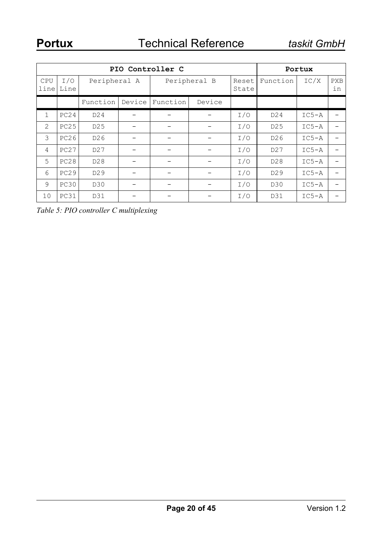|                    | PIO Controller C |                 |        |              |        |                |                 | Portux    |           |
|--------------------|------------------|-----------------|--------|--------------|--------|----------------|-----------------|-----------|-----------|
| <b>CPU</b><br>line | I/O<br>Line      | Peripheral A    |        | Peripheral B |        | Reset<br>State | Function        | IC/X      | PXB<br>in |
|                    |                  | Function        | Device | Function     | Device |                |                 |           |           |
| $\mathbf{1}$       | PC24             | D <sub>24</sub> |        |              |        | I/O            | D <sub>24</sub> | $IC5 - A$ |           |
| 2                  | PC25             | D <sub>25</sub> |        |              |        | I/O            | D <sub>25</sub> | $IC5 - A$ |           |
| 3                  | PC <sub>26</sub> | D <sub>26</sub> |        |              |        | I/O            | D <sub>26</sub> | $IC5 - A$ |           |
| 4                  | PC27             | D <sub>27</sub> |        |              |        | I/O            | D <sub>27</sub> | $IC5 - A$ |           |
| 5                  | PC28             | D <sub>28</sub> |        |              |        | I/O            | D <sub>28</sub> | $IC5 - A$ |           |
| 6                  | PC29             | D <sub>29</sub> |        |              |        | I/O            | D <sub>29</sub> | $IC5 - A$ |           |
| 9                  | PC30             | D30             |        |              |        | I/O            | D30             | $IC5 - A$ |           |
| 10                 | <b>PC31</b>      | D31             |        |              |        | I/O            | D31             | $IC5 - A$ |           |

*Table 5: PIO controller C multiplexing*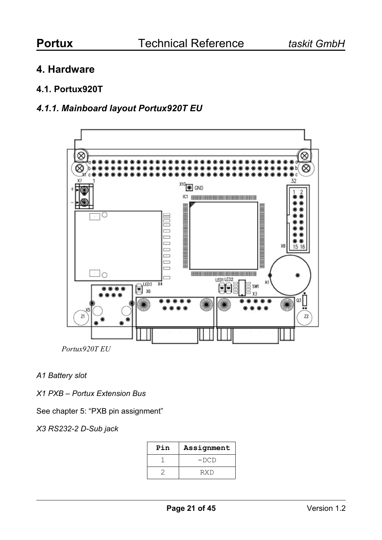- **4. Hardware**
- **4.1. Portux920T**

## *4.1.1. Mainboard layout Portux920T EU*



*Portux920T EU*

*A1 Battery slot*

*X1 PXB – Portux Extension Bus*

See chapter 5: "PXB pin assignment"

*X3 RS232-2 D-Sub jack*

| Pin | Assignment |
|-----|------------|
|     | $-DCD$     |
|     | RXD        |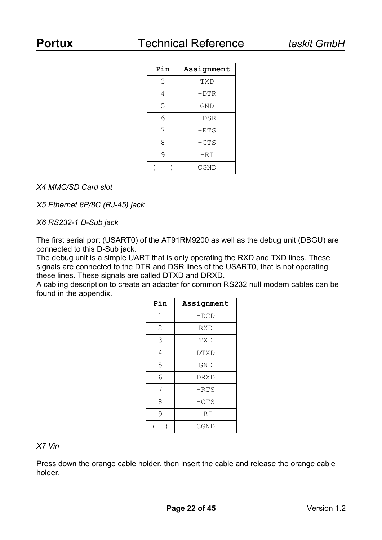| Pin | Assignment |  |
|-----|------------|--|
| 3   | TXD        |  |
| 4   | $-DTR$     |  |
| 5   | GND        |  |
| 6   | $-DSR$     |  |
| 7   | $-RTS$     |  |
| 8   | -CTS       |  |
| 9   | $-RI$      |  |
|     | CGND       |  |

*X4 MMC/SD Card slot*

*X5 Ethernet 8P/8C (RJ-45) jack*

*X6 RS232-1 D-Sub jack*

The first serial port (USART0) of the AT91RM9200 as well as the debug unit (DBGU) are connected to this D-Sub jack.

The debug unit is a simple UART that is only operating the RXD and TXD lines. These signals are connected to the DTR and DSR lines of the USART0, that is not operating these lines. These signals are called DTXD and DRXD.

A cabling description to create an adapter for common RS232 null modem cables can be found in the appendix.

| Pin | Assignment |  |  |
|-----|------------|--|--|
| 1   | $-DCD$     |  |  |
| 2   | RXD        |  |  |
| 3   | TXD        |  |  |
| 4   | DTXD       |  |  |
| 5   | GND        |  |  |
| 6   | DRXD       |  |  |
| 7   | $-RTS$     |  |  |
| 8   | $-CTS$     |  |  |
| 9   | $-RI$      |  |  |
|     | CGND       |  |  |

*X7 Vin*

Press down the orange cable holder, then insert the cable and release the orange cable holder.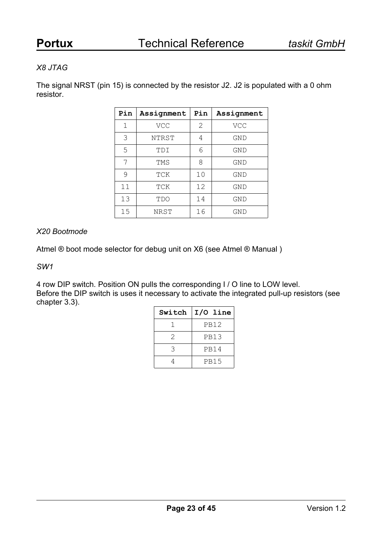#### *X8 JTAG*

The signal NRST (pin 15) is connected by the resistor J2. J2 is populated with a 0 ohm resistor.

| Pin | Assignment | Pin | Assignment |
|-----|------------|-----|------------|
| 1   | <b>VCC</b> | 2   | <b>VCC</b> |
| 3   | NTRST      | 4   | GND        |
| 5   | TDI        | 6   | GND        |
| 7   | TMS        | 8   | GND        |
| 9   | TCK        | 10  | GND        |
| 11  | TCK        | 12  | GND        |
| 13  | TDO        | 14  | GND        |
| 15  | NRST       | 16  | GND        |

#### *X20 Bootmode*

Atmel ® boot mode selector for debug unit on X6 (see Atmel ® Manual )

*SW1*

4 row DIP switch. Position ON pulls the corresponding I / O line to LOW level. Before the DIP switch is uses it necessary to activate the integrated pull-up resistors (see chapter 3.3).

| Switch | I/O line    |
|--------|-------------|
|        | <b>PB12</b> |
| 2      | <b>PB13</b> |
| २      | <b>PB14</b> |
|        | <b>PB15</b> |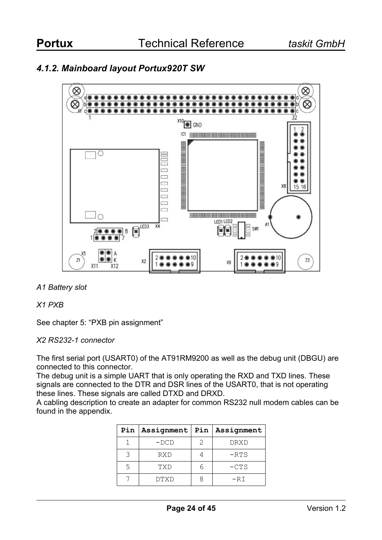## *4.1.2. Mainboard layout Portux920T SW*



#### *A1 Battery slot*

#### *X1 PXB*

See chapter 5: "PXB pin assignment"

#### *X2 RS232-1 connector*

The first serial port (USART0) of the AT91RM9200 as well as the debug unit (DBGU) are connected to this connector.

The debug unit is a simple UART that is only operating the RXD and TXD lines. These signals are connected to the DTR and DSR lines of the USART0, that is not operating these lines. These signals are called DTXD and DRXD.

A cabling description to create an adapter for common RS232 null modem cables can be found in the appendix.

| Pin | Assignment | Pin | Assignment |
|-----|------------|-----|------------|
|     | $-DCD$     | 2   | DRXD       |
|     | RXD        |     | $-RTS$     |
| 5   | <b>TXD</b> |     | $-CTS$     |
|     | DTXD       | Χ   | $-RT$      |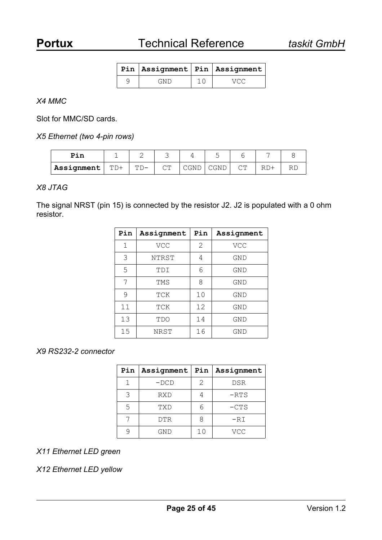|     | Pin   Assignment   Pin   Assignment |
|-----|-------------------------------------|
| GND | VCC                                 |

*X4 MMC*

Slot for MMC/SD cards.

*X5 Ethernet (two 4-pin rows)*

| <b>Assignment</b> TD+ | $\Box$ | $\sim$ m<br>◡⊥ | $\mathcal{C}GND$ <sup>1</sup> | CGND | $\sim$ m $\,$<br>◡∸ |  |
|-----------------------|--------|----------------|-------------------------------|------|---------------------|--|

#### *X8 JTAG*

The signal NRST (pin 15) is connected by the resistor J2. J2 is populated with a 0 ohm resistor.

| Pin | Assignment | Pin | Assignment |
|-----|------------|-----|------------|
| 1   | <b>VCC</b> | 2   | <b>VCC</b> |
| 3   | NTRST      | 4   | GND        |
| 5   | TDI        | 6   | GND        |
| 7   | TMS        | 8   | GND        |
| 9   | TCK        | 10  | GND        |
| 11  | TCK        | 12  | GND        |
| 13  | TDO        | 14  | GND        |
| 15  | NRST       | 16  | GND        |

#### *X9 RS232-2 connector*

| Pin | Assignment | Pin | Assignment |
|-----|------------|-----|------------|
|     | $-DCD$     | 2   | DSR        |
| 3   | RXD        |     | $-RTS$     |
| 5   | TXD        | 6   | $-CTS$     |
|     | DTR        | 8   | $-RI$      |
|     | GND        |     | <b>VCC</b> |

*X11 Ethernet LED green*

*X12 Ethernet LED yellow*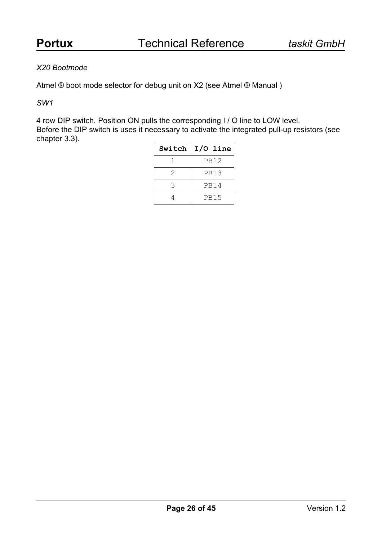#### *X20 Bootmode*

Atmel ® boot mode selector for debug unit on X2 (see Atmel ® Manual )

*SW1*

4 row DIP switch. Position ON pulls the corresponding I / O line to LOW level. Before the DIP switch is uses it necessary to activate the integrated pull-up resistors (see chapter 3.3).

| Switch | I/O line    |
|--------|-------------|
|        | <b>PB12</b> |
| 2      | <b>PB13</b> |
| २      | <b>PB14</b> |
|        | <b>PB15</b> |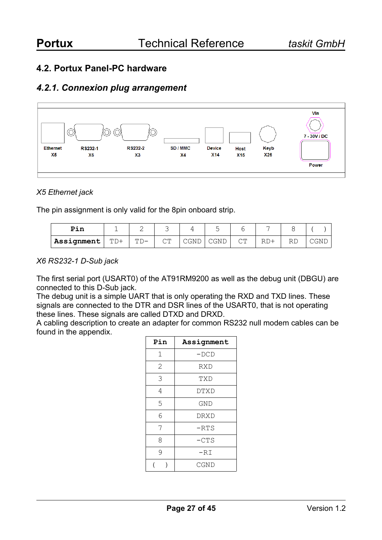#### **4.2. Portux Panel-PC hardware**

#### *4.2.1. Connexion plug arrangement*



#### *X5 Ethernet jack*

The pin assignment is only valid for the 8pin onboard strip.

| Pin        |     |            |                |      |      |                     |  |      |
|------------|-----|------------|----------------|------|------|---------------------|--|------|
| Assignment | TD+ | ጣገ—<br>⊥ ⊃ | $\sim$ m<br>◡∸ | CGND | CGND | $\sim$ m $\,$<br>◡⊥ |  | UN L |

#### *X6 RS232-1 D-Sub jack*

The first serial port (USART0) of the AT91RM9200 as well as the debug unit (DBGU) are connected to this D-Sub jack.

The debug unit is a simple UART that is only operating the RXD and TXD lines. These signals are connected to the DTR and DSR lines of the USART0, that is not operating these lines. These signals are called DTXD and DRXD.

A cabling description to create an adapter for common RS232 null modem cables can be found in the appendix.

| Pin | Assignment  |  |  |
|-----|-------------|--|--|
| 1   | $-DCD$      |  |  |
| 2   | RXD         |  |  |
| 3   | TXD         |  |  |
| 4   | <b>DTXD</b> |  |  |
| 5   | GND         |  |  |
| 6   | DRXD        |  |  |
| 7   | -RTS        |  |  |
| 8   | $-CTS$      |  |  |
| 9   | $-RI$       |  |  |
|     | CGND        |  |  |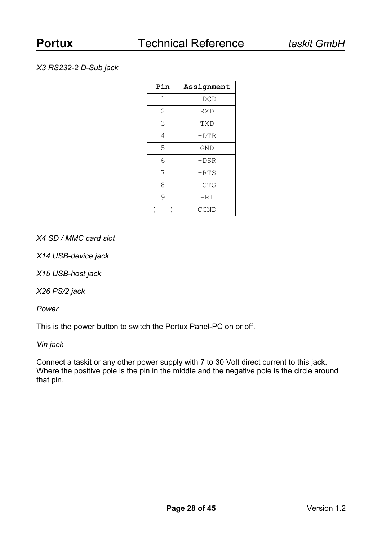#### *X3 RS232-2 D-Sub jack*

| Pin | Assignment |
|-----|------------|
| 1   | $-DCD$     |
| 2   | RXD        |
| 3   | TXD        |
| 4   | $-DTR$     |
| 5   | GND        |
| 6   | -DSR       |
| 7   | $-RTS$     |
| 8   | $-CTS$     |
| 9   | $-RI$      |
|     | CGND       |

*X4 SD / MMC card slot*

*X14 USB-device jack*

*X15 USB-host jack*

*X26 PS/2 jack*

*Power*

This is the power button to switch the Portux Panel-PC on or off.

#### *Vin jack*

Connect a taskit or any other power supply with 7 to 30 Volt direct current to this jack. Where the positive pole is the pin in the middle and the negative pole is the circle around that pin.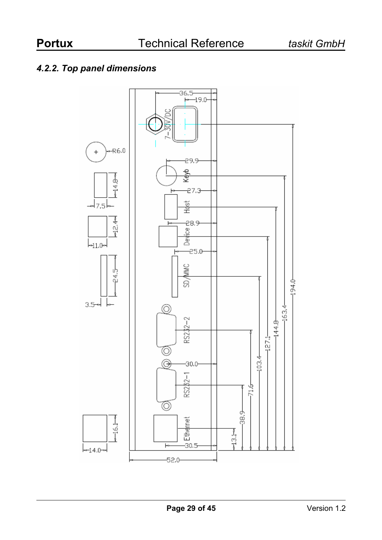## *4.2.2. Top panel dimensions*

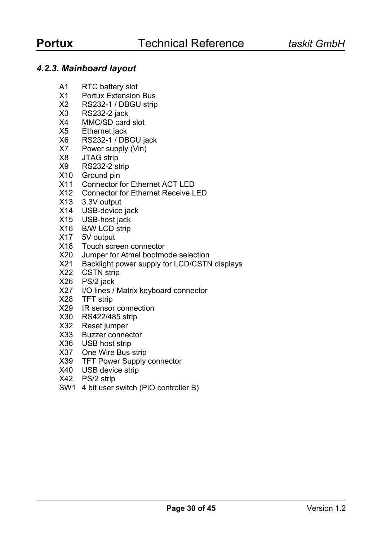#### *4.2.3. Mainboard layout*

- A1 RTC battery slot
- X1 Portux Extension Bus
- X2 RS232-1 / DBGU strip
- X3 RS232-2 jack
- X4 MMC/SD card slot
- X5 Ethernet jack
- X6 RS232-1 / DBGU jack
- X7 Power supply (Vin)
- X8 JTAG strip
- X9 RS232-2 strip
- X10 Ground pin
- X11 Connector for Ethernet ACT LED
- X12 Connector for Ethernet Receive LED
- X13 3.3V output
- X14 USB-device jack
- X15 USB-host jack
- X16 B/W LCD strip
- X17 5V output
- X18 Touch screen connector
- X20 Jumper for Atmel bootmode selection
- X21 Backlight power supply for LCD/CSTN displays
- X22 CSTN strip
- X26 PS/2 jack
- X27 I/O lines / Matrix keyboard connector
- X28 TFT strip
- X29 IR sensor connection
- X30 RS422/485 strip
- X32 Reset jumper
- X33 Buzzer connector
- X36 USB host strip
- X37 One Wire Bus strip
- X39 TFT Power Supply connector
- X40 USB device strip
- X42 PS/2 strip
- SW1 4 bit user switch (PIO controller B)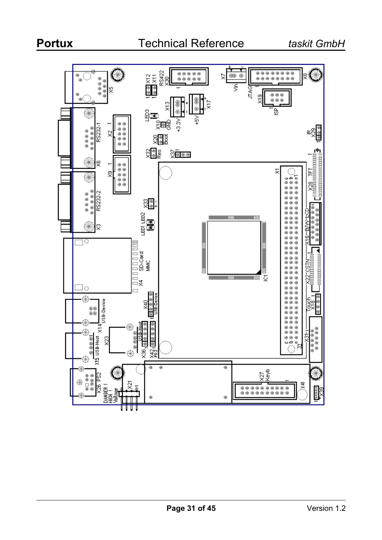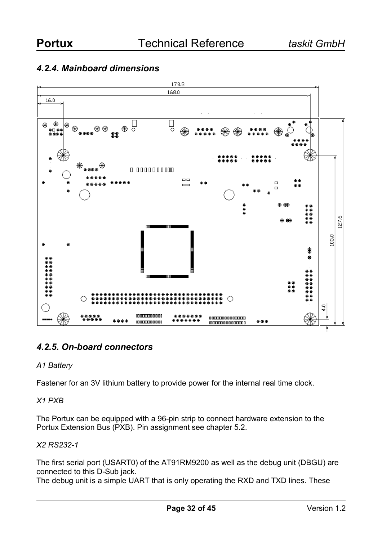#### *4.2.4. Mainboard dimensions*



## *4.2.5. On-board connectors*

#### *A1 Battery*

Fastener for an 3V lithium battery to provide power for the internal real time clock.

#### *X1 PXB*

The Portux can be equipped with a 96-pin strip to connect hardware extension to the Portux Extension Bus (PXB). Pin assignment see chapter 5.2.

#### *X2 RS232-1*

The first serial port (USART0) of the AT91RM9200 as well as the debug unit (DBGU) are connected to this D-Sub jack.

The debug unit is a simple UART that is only operating the RXD and TXD lines. These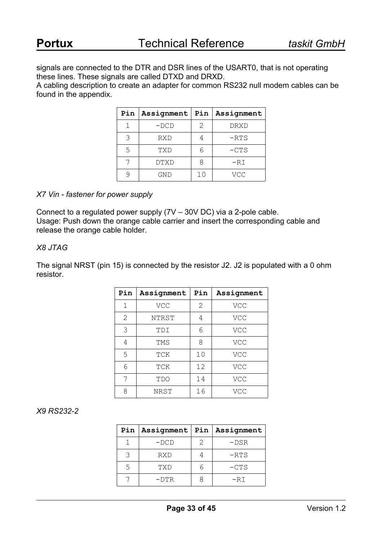signals are connected to the DTR and DSR lines of the USART0, that is not operating these lines. These signals are called DTXD and DRXD.

A cabling description to create an adapter for common RS232 null modem cables can be found in the appendix.

| Pin | Assignment  | Pin | Assignment |
|-----|-------------|-----|------------|
|     | $-DCD$      | 2   | DRXD       |
| 3   | RXD         |     | $-RTS$     |
| 5   | TXD         |     | $-CTS$     |
|     | <b>DTXD</b> |     | $-RI$      |
|     | GND         | 10  | VCC        |

*X7 Vin - fastener for power supply*

Connect to a regulated power supply (7V – 30V DC) via a 2-pole cable. Usage: Push down the orange cable carrier and insert the corresponding cable and release the orange cable holder.

#### *X8 JTAG*

The signal NRST (pin 15) is connected by the resistor J2. J2 is populated with a 0 ohm resistor.

| Pin | Assignment | Pin | Assignment |
|-----|------------|-----|------------|
| 1   | <b>VCC</b> | 2   | <b>VCC</b> |
| 2   | NTRST      | 4   | <b>VCC</b> |
| 3   | TDI        | 6   | <b>VCC</b> |
| 4   | TMS        | 8   | <b>VCC</b> |
| 5   | TCK        | 10  | <b>VCC</b> |
| 6   | TCK        | 12  | <b>VCC</b> |
| 7   | TDO        | 14  | <b>VCC</b> |
| 8   | NRST       | 16  | <b>VCC</b> |

#### *X9 RS232-2*

| Pin | Assignment | Pin | Assignment |
|-----|------------|-----|------------|
|     | $-DCD$     | 2   | $-DSR$     |
| २   | RXD        |     | $-RTS$     |
| 5   | TXD        |     | $-CTS$     |
|     | $-DTR$     |     | $-RT$      |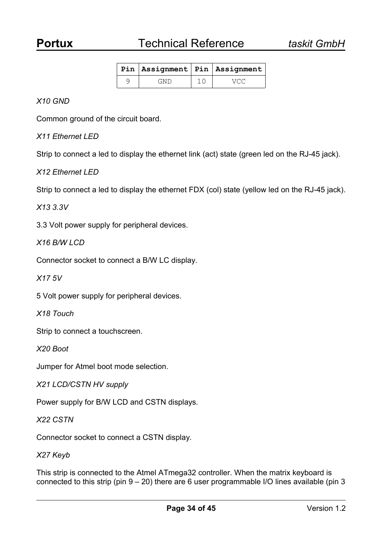|     | Pin   Assignment   Pin   Assignment |
|-----|-------------------------------------|
| GND | VCC                                 |

*X10 GND*

Common ground of the circuit board.

*X11 Ethernet LED*

Strip to connect a led to display the ethernet link (act) state (green led on the RJ-45 jack).

*X12 Ethernet LED*

Strip to connect a led to display the ethernet FDX (col) state (yellow led on the RJ-45 jack).

*X13 3.3V*

3.3 Volt power supply for peripheral devices.

*X16 B/W LCD*

Connector socket to connect a B/W LC display.

*X17 5V*

5 Volt power supply for peripheral devices.

*X18 Touch*

Strip to connect a touchscreen.

*X20 Boot*

Jumper for Atmel boot mode selection.

*X21 LCD/CSTN HV supply*

Power supply for B/W LCD and CSTN displays.

*X22 CSTN*

Connector socket to connect a CSTN display.

#### *X27 Keyb*

This strip is connected to the Atmel ATmega32 controller. When the matrix keyboard is connected to this strip (pin  $9 - 20$ ) there are 6 user programmable I/O lines available (pin 3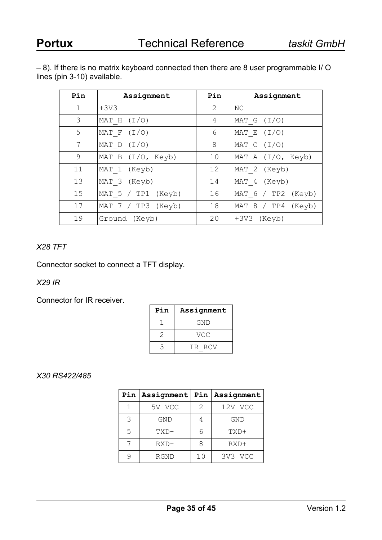– 8). If there is no matrix keyboard connected then there are 8 user programmable I/ O lines (pin 3-10) available.

| Pin          | Assignment           | Pin | Assignment           |
|--------------|----------------------|-----|----------------------|
| $\mathbf{1}$ | $+3V3$               | 2   | NC                   |
| 3            | MAT H $(I/O)$        | 4   | MAT G $(I/O)$        |
| 5            | MAT F $(I/O)$        | 6   | MAT E $(I/O)$        |
| 7            | MAT D $(I/O)$        | 8   | MAT C $(I/O)$        |
| 9            | MAT B (I/O, Keyb)    | 10  | MAT A $(I/O, Keyb)$  |
| 11           | MAT 1 (Keyb)         | 12  | MAT 2 (Keyb)         |
| 13           | MAT 3 (Keyb)         | 14  | MAT 4 (Keyb)         |
| 15           | MAT $5 / TP1$ (Keyb) | 16  | MAT $6 / TP2$ (Keyb) |
| 17           | MAT 7 / TP3 (Keyb)   | 18  | MAT 8 / TP4 (Keyb)   |
| 19           | Ground (Keyb)        | 20  | $+3V3$ (Keyb)        |

#### *X28 TFT*

Connector socket to connect a TFT display.

#### *X29 IR*

Connector for IR receiver.

| Pin | Assignment |  |  |  |
|-----|------------|--|--|--|
|     | GND        |  |  |  |
| 2   | VCC        |  |  |  |
|     | IR RCV     |  |  |  |

#### *X30 RS422/485*

|   | Pin   Assignment   Pin |                | Assignment |  |
|---|------------------------|----------------|------------|--|
|   | 5V VCC                 | 2              | 12V VCC    |  |
| 3 | GND                    |                | GND        |  |
| 5 | TXD-                   | 6              | TXD+       |  |
|   | $RXD-$                 | 8              | RXD+       |  |
|   | RGND                   | 1 <sub>0</sub> | 3V3 VCC    |  |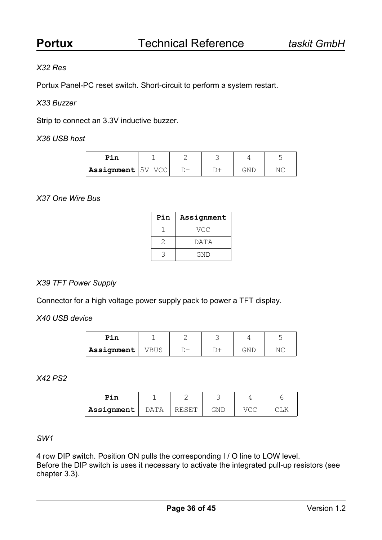#### *X32 Res*

Portux Panel-PC reset switch. Short-circuit to perform a system restart.

#### *X33 Buzzer*

Strip to connect an 3.3V inductive buzzer.

#### *X36 USB host*

| <b>Assignment</b> 5V VCC |  |  |  |
|--------------------------|--|--|--|

#### *X37 One Wire Bus*

| Pin | Assignment |  |  |  |
|-----|------------|--|--|--|
|     | VCC        |  |  |  |
|     | DATA       |  |  |  |
|     | GND        |  |  |  |

#### *X39 TFT Power Supply*

Connector for a high voltage power supply pack to power a TFT display.

#### *X40 USB device*

| <b>Assignment</b>   VBUS | . — |  |  |
|--------------------------|-----|--|--|

*X42 PS2*

| Pin        |      |              |     |              |  |
|------------|------|--------------|-----|--------------|--|
| Assignment | DATA | <b>RESET</b> | GND | 7 M M<br>ししし |  |

#### *SW1*

4 row DIP switch. Position ON pulls the corresponding I / O line to LOW level. Before the DIP switch is uses it necessary to activate the integrated pull-up resistors (see chapter 3.3).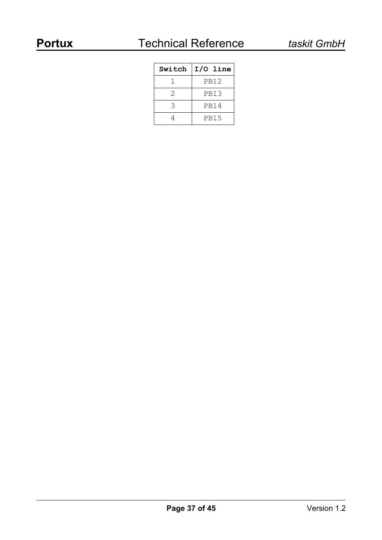| Switch | $I/O$ line  |  |  |  |
|--------|-------------|--|--|--|
|        | <b>PB12</b> |  |  |  |
| 2.     | <b>PB13</b> |  |  |  |
| っ      | <b>PB14</b> |  |  |  |
|        | <b>PB15</b> |  |  |  |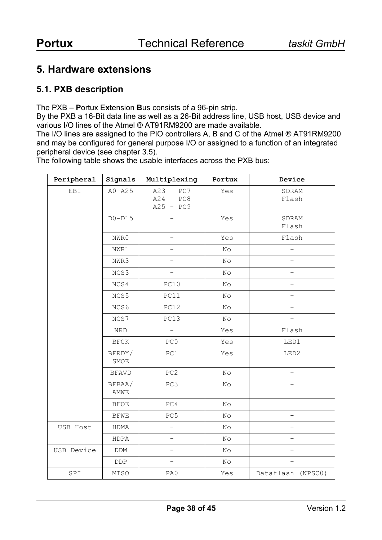## **5. Hardware extensions**

#### **5.1. PXB description**

The PXB – **P**ortux E**x**tension **B**us consists of a 96-pin strip.

By the PXB a 16-Bit data line as well as a 26-Bit address line, USB host, USB device and various I/O lines of the Atmel ® AT91RM9200 are made available.

The I/O lines are assigned to the PIO controllers A, B and C of the Atmel ® AT91RM9200 and may be configured for general purpose I/O or assigned to a function of an integrated peripheral device (see chapter 3.5).

The following table shows the usable interfaces across the PXB bus:

| Peripheral | Signals               | Multiplexing                              | Portux                     | Device                   |
|------------|-----------------------|-------------------------------------------|----------------------------|--------------------------|
| EBI        | $A0 - A25$            | $A23 - PC7$<br>$A24 - PC8$<br>$A25 - PC9$ | Yes                        | SDRAM<br>Flash           |
|            | $D0 - D15$            |                                           | Yes                        | SDRAM<br>Flash           |
|            | NWR0                  |                                           | Yes                        | Flash                    |
|            | NWR1                  |                                           | $\mathop{\rm No}\nolimits$ | -                        |
|            | NWR3                  |                                           | $\mathop{\rm No}\nolimits$ |                          |
|            | NCS3                  |                                           | $\mathop{\rm No}\nolimits$ |                          |
|            | NCS4                  | PC10                                      | $\mathop{\rm No}\nolimits$ |                          |
|            | NCS5                  | PC11                                      | $\mathop{\rm No}\nolimits$ |                          |
|            | NCS6                  | PC12                                      | No                         | $\overline{\phantom{0}}$ |
|            | NCS7                  | PC13                                      | $\rm\,N\,$                 |                          |
|            | <b>NRD</b>            | $\overline{\phantom{0}}$                  | Yes                        | Flash                    |
|            | <b>BFCK</b>           | PC0                                       | Yes                        | LED1                     |
|            | BFRDY/<br>SMOE        | PC1                                       | Yes                        | LED2                     |
|            | <b>BFAVD</b>          | PC <sub>2</sub>                           | $\rm\,N\,$                 |                          |
|            | BFBAA/<br>AMWE        | PC3                                       | $\rm\,N\,$                 |                          |
|            | <b>BFOE</b>           | PC4                                       | No                         |                          |
|            | <b>BFWE</b>           | PC5                                       | $\rm\,N\,$                 |                          |
| USB Host   | ${\tt HDMA}$          |                                           | $\rm\,N\,$                 |                          |
|            | HDPA                  | $\qquad \qquad -$                         | $\mathop{\rm No}\nolimits$ | $\qquad \qquad -$        |
| USB Device | $\mathsf{DDM}\xspace$ |                                           | $\rm\,N\,$                 |                          |
|            | DDP                   | $\overline{\phantom{0}}$                  | $\mathop{\rm No}\nolimits$ |                          |
| SPI        | MISO                  | PA0                                       | Yes                        | Dataflash (NPSCO)        |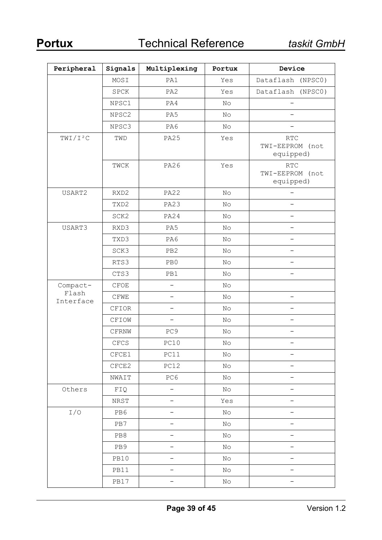| Peripheral         | Signals      | Multiplexing    | Portux                     | Device                                                      |
|--------------------|--------------|-----------------|----------------------------|-------------------------------------------------------------|
|                    | MOSI         | PA1             | Yes                        | Dataflash (NPSCO)                                           |
|                    | SPCK         | PA <sub>2</sub> | Yes                        | Dataflash (NPSCO)                                           |
|                    | NPSC1        | PA4             | No                         | -                                                           |
|                    | NPSC2        | PA5             | No                         |                                                             |
|                    | NPSC3        | PA6             | $\rm No$                   | $\overline{\phantom{0}}$                                    |
| $TWI/I^2C$         | TWD          | <b>PA25</b>     | Yes                        | $\mathop{\rm RTC}\nolimits$<br>TWI-EEPROM (not<br>equipped) |
|                    | TWCK         | <b>PA26</b>     | Yes                        | $\mathop{\rm RTC}\nolimits$<br>TWI-EEPROM (not<br>equipped) |
| USART2             | RXD2         | <b>PA22</b>     | $\mathbb{N} \circ$         | $\overline{\phantom{0}}$                                    |
|                    | TXD2         | PA23            | No                         |                                                             |
|                    | SCK2         | <b>PA24</b>     | No                         |                                                             |
| USART3             | RXD3         | PA5             | No                         |                                                             |
|                    | TXD3         | PA6             | No                         | $\equiv$                                                    |
|                    | SCK3         | PB <sub>2</sub> | No                         |                                                             |
|                    | RTS3         | PB0             | $\mathop{\rm No}\nolimits$ |                                                             |
|                    | CTS3         | PB1             | No                         |                                                             |
| Compact-           | ${\tt CFOE}$ | $\overline{a}$  | $\mathop{\rm No}\nolimits$ |                                                             |
| Flash<br>Interface | CFWE         |                 | $\rm No$                   |                                                             |
|                    | CFIOR        |                 | $\mathop{\rm No}\nolimits$ |                                                             |
|                    | CFIOW        |                 | $\rm No$                   |                                                             |
|                    | ${\tt CFRW}$ | PC <sub>9</sub> | $\mathop{\rm No}\nolimits$ |                                                             |
|                    | CFCS         | PC10            | $\rm\,N\,$                 |                                                             |
|                    | CFCE1        | PC11            | $\rm\,N\,$                 |                                                             |
|                    | CFCE2        | PC12            | $\rm No$                   |                                                             |
|                    | NWAIT        | PC6             | $\rm\,N\,$                 |                                                             |
| Others             | FIQ          | $\equiv$        | $\mathop{\rm No}\nolimits$ |                                                             |
|                    | NRST         |                 | Yes                        |                                                             |
| I/O                | PB6          |                 | $\rm\,N\,$                 |                                                             |
|                    | PB7          |                 | $\rm\,N\,$                 |                                                             |
|                    | PB8          |                 | $\rm\,N\,$                 | Ξ.                                                          |
|                    | PB9          |                 | $\rm\,N\,$                 |                                                             |
|                    | PB10         |                 | $\rm\,N\,$                 | Ξ.                                                          |
|                    | PB11         |                 | No                         |                                                             |
|                    | PB17         |                 | $\mathop{\rm No}\nolimits$ | $\overline{\phantom{0}}$                                    |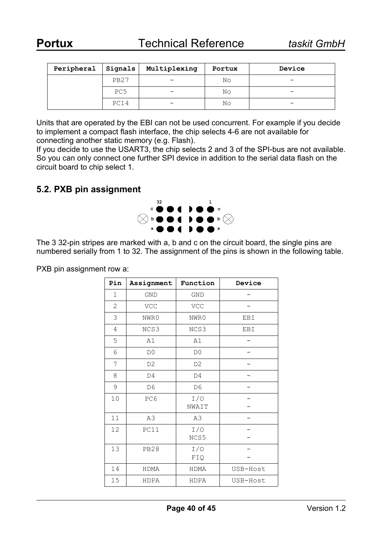| Peripheral | Signals         | Multiplexing | Portux | Device |
|------------|-----------------|--------------|--------|--------|
|            | <b>PB27</b>     |              | No     |        |
|            | PC <sub>5</sub> |              | No     |        |
|            | PC14            |              | No     | -      |

Units that are operated by the EBI can not be used concurrent. For example if you decide to implement a compact flash interface, the chip selects 4-6 are not available for connecting another static memory (e.g. Flash).

If you decide to use the USART3, the chip selects 2 and 3 of the SPI-bus are not available. So you can only connect one further SPI device in addition to the serial data flash on the circuit board to chip select 1.

#### **5.2. PXB pin assignment**



The 3 32-pin stripes are marked with a, b and c on the circuit board, the single pins are numbered serially from 1 to 32. The assignment of the pins is shown in the following table.

| Pin | Assignment     | Function       | Device     |
|-----|----------------|----------------|------------|
| 1   | <b>GND</b>     | <b>GND</b>     |            |
| 2   | <b>VCC</b>     | <b>VCC</b>     |            |
| 3   | NWR0           | NWR0           | <b>EBI</b> |
| 4   | NCS3           | NCS3           | EBI        |
| 5   | A1             | A1             |            |
| 6   | D <sub>0</sub> | D <sub>0</sub> |            |
| 7   | D2             | D2             |            |
| 8   | D4             | D4             |            |
| 9   | D <sub>6</sub> | D <sub>6</sub> |            |
| 10  | PC6            | I/O<br>NWAIT   |            |
| 11  | A3             | A <sub>3</sub> |            |
| 12  | PC11           | I/O<br>NCS5    |            |
| 13  | <b>PB28</b>    | I/O<br>FIQ     |            |
| 14  | <b>HDMA</b>    | <b>HDMA</b>    | USB-Host   |
| 15  | <b>HDPA</b>    | <b>HDPA</b>    | USB-Host   |

PXB pin assignment row a: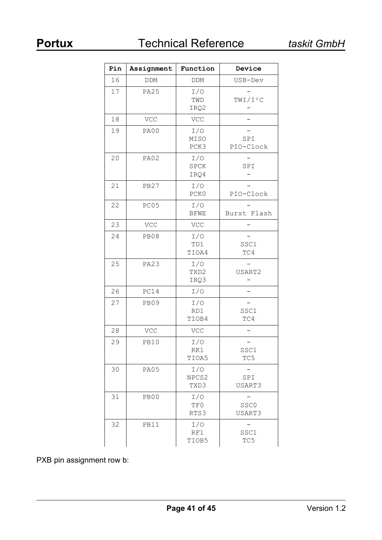| Pin | Assignment     | Function                                | Device                  |
|-----|----------------|-----------------------------------------|-------------------------|
| 16  | <b>DDM</b>     | <b>DDM</b>                              | USB-Dev                 |
| 17  | <b>PA25</b>    | I/O<br>TWD<br>IRQ2                      | $TWI/I^2C$              |
| 18  | ${\hbox{VCC}}$ | <b>VCC</b>                              |                         |
| 19  | PA00           | I/O<br>MISO<br>PCK3                     | SPI<br>PIO-Clock        |
| 20  | PA02           | I/O<br><b>SPCK</b><br>IRQ4              | SPI                     |
| 21  | <b>PB27</b>    | I/O<br>PCK0                             | PIO-Clock               |
| 22  | PC05           | I/O<br><b>BFWE</b>                      | Burst Flash             |
| 23  | <b>VCC</b>     | ${\hbox{VCC}}$                          |                         |
| 24  | PB08           | I/O<br>TD1<br>TIOA4                     | SSC1<br>TC4             |
| 25  | PA23           | $\mathtt{I}/\mathtt{O}$<br>TXD2<br>IRQ3 | USART2                  |
| 26  | PC14           | I/O                                     |                         |
| 27  | PB09           | I/O<br>RD1<br>TIOB4                     | SSC1<br>TC4             |
| 28  | <b>VCC</b>     | <b>VCC</b>                              |                         |
| 29  | PB10           | I/O<br>RK1<br>TIOA5                     | SSC1<br>TC <sub>5</sub> |
| 30  | PA05           | I/O<br>NPCS2<br>TXD3                    | SPI<br>USART3           |
| 31  | PB00           | I/O<br>TF0<br>RTS3                      | SSC0<br>USART3          |
| 32  | PB11           | I/O<br>RF1<br>TIOB5                     | SSC1<br>TC5             |

PXB pin assignment row b: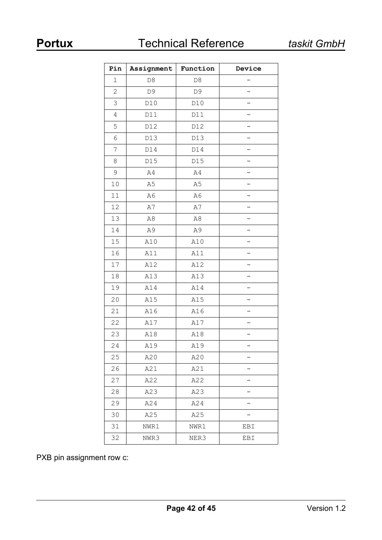| Pin          | Assignment     | Function       | Device |
|--------------|----------------|----------------|--------|
| $\mathbf 1$  | D <sub>8</sub> | D <sub>8</sub> |        |
| $\mathbf{2}$ | D <sub>9</sub> | D <sup>9</sup> |        |
| 3            | D10            | $D10$          |        |
| 4            | D11            | D11            |        |
| 5            | D12            | D12            |        |
| 6            | D13            | D13            |        |
| 7            | D14            | D14            |        |
| 8            | D15            | D15            |        |
| 9            | A4             | A4             |        |
| $10$         | A <sub>5</sub> | A <sub>5</sub> |        |
| 11           | A6             | A6             |        |
| 12           | A7             | A7             |        |
| 13           | A <sub>8</sub> | A <sub>8</sub> |        |
| 14           | A9             | A9             |        |
| 15           | A10            | A10            |        |
| 16           | A11            | A11            |        |
| 17           | A12            | A12            |        |
| 18           | A13            | A13            |        |
| 19           | A14            | A14            |        |
| 20           | A15            | A15            |        |
| 21           | A16            | A16            |        |
| 22           | A17            | A17            |        |
| 23           | A18            | A18            |        |
| 24           | A19            | A19            |        |
| 25           | A20            | A20            |        |
| 26           | A21            | A21            |        |
| 27           | A22            | A22            |        |
| 28           | A23            | A23            |        |
| 29           | A24            | A24            |        |
| 30           | A25            | A25            |        |
| 31           | NWR1           | NWR1           | EBI    |
| 32           | NWR3           | NER3           | EBI    |

PXB pin assignment row c: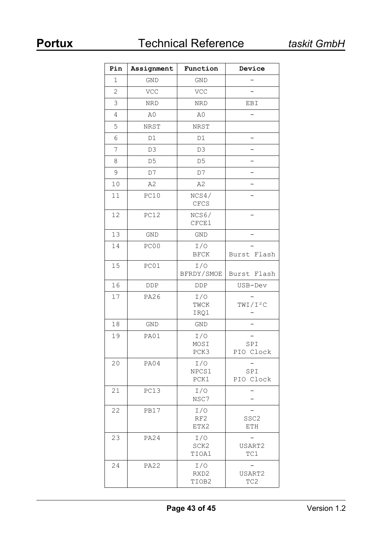## **Portux** Technical Reference *taskit GmbH*

| Pin | Assignment              | Function             | Device                 |
|-----|-------------------------|----------------------|------------------------|
| 1   | <b>GND</b>              | GND                  |                        |
| 2   | <b>VCC</b>              | <b>VCC</b>           |                        |
| 3   | <b>NRD</b>              | <b>NRD</b>           | EBI                    |
| 4   | A <sub>0</sub>          | A <sub>0</sub>       |                        |
| 5   | <b>NRST</b>             | <b>NRST</b>          |                        |
| 6   | D1                      | D1                   |                        |
| 7   | D3                      | D3                   |                        |
| 8   | D <sub>5</sub>          | D <sub>5</sub>       |                        |
| 9   | D7                      | D7                   |                        |
| 10  | A2                      | A2                   |                        |
| 11  | PC10                    | NCS4/<br><b>CFCS</b> |                        |
| 12  | PC12                    | NCS6/<br>CFCE1       |                        |
| 13  | $\mathop{\mathsf{GND}}$ | GND                  |                        |
| 14  | PC00                    | I/O<br><b>BFCK</b>   | Burst Flash            |
| 15  | PC01                    | I/O<br>BFRDY/SMOE    | Burst Flash            |
| 16  | <b>DDP</b>              | DDP                  | USB-Dev                |
| 17  | PA26                    | I/O<br>TWCK<br>IRQ1  | TWI / I <sup>2</sup> C |
| 18  | <b>GND</b>              | GND                  |                        |
| 19  | PA01                    | I/O<br>MOSI<br>PCK3  | SPI<br>PIO Clock       |
| 20  | PA04                    | I/O<br>NPCS1<br>PCK1 | SPI<br>PIO Clock       |
| 21  | PC13                    | I/O<br>NSC7          |                        |
| 22  | PB17                    | I/O<br>RF2<br>ETX2   | SSC2<br>ETH            |
| 23  | <b>PA24</b>             | I/O<br>SCK2<br>TIOA1 | USART2<br>TC1          |
| 24  | <b>PA22</b>             | I/O<br>RXD2<br>TIOB2 | USART2<br>TC2          |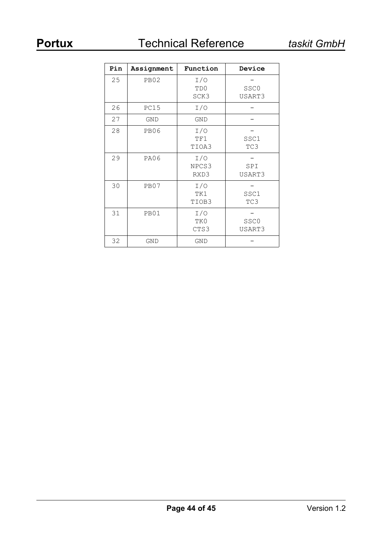## **Portux** Technical Reference *taskit GmbH*

| Pin | Assignment  | Function             | Device         |
|-----|-------------|----------------------|----------------|
| 25  | PB02        | I/O<br>TD0<br>SCK3   | SSC0<br>USART3 |
| 26  | <b>PC15</b> | I/O                  |                |
| 27  | <b>GND</b>  | <b>GND</b>           |                |
| 28  | PB06        | I/O<br>TF1<br>TIOA3  | SSC1<br>TC3    |
| 29  | PA06        | I/O<br>NPCS3<br>RXD3 | SPI<br>USART3  |
| 30  | PB07        | I/O<br>TK1<br>TIOB3  | SSC1<br>TC3    |
| 31  | PB01        | I/O<br>TK0<br>CTS3   | SSC0<br>USART3 |
| 32  | <b>GND</b>  | <b>GND</b>           |                |